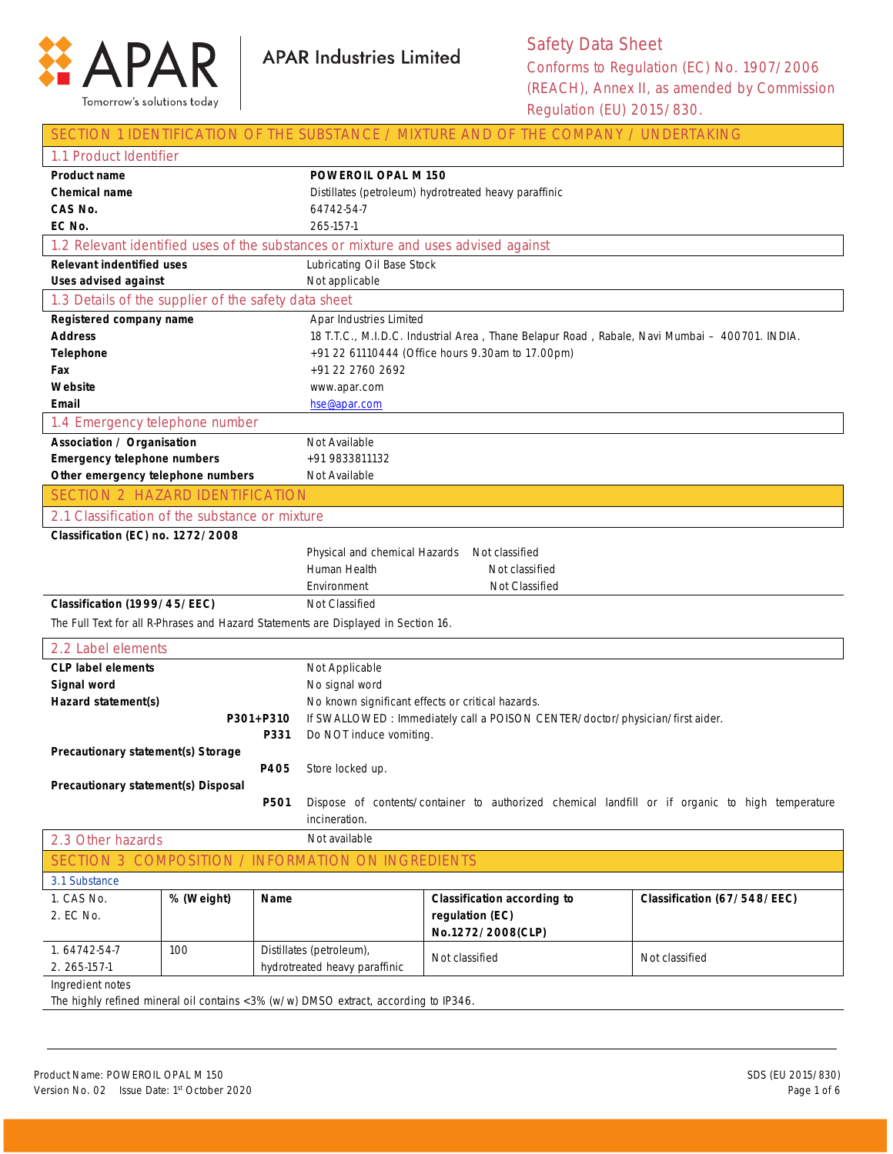

|                                                                         |            |                                                       |                                                                                               | SECTION 1 IDENTIFICATION OF THE SUBSTANCE / MIXTURE AND OF THE COMPANY / UNDERTAKING            |                             |
|-------------------------------------------------------------------------|------------|-------------------------------------------------------|-----------------------------------------------------------------------------------------------|-------------------------------------------------------------------------------------------------|-----------------------------|
| 1.1 Product Identifier                                                  |            |                                                       |                                                                                               |                                                                                                 |                             |
| <b>Product name</b>                                                     |            |                                                       | <b>POWEROIL OPAL M 150</b>                                                                    |                                                                                                 |                             |
| Chemical name                                                           |            | Distillates (petroleum) hydrotreated heavy paraffinic |                                                                                               |                                                                                                 |                             |
| CAS No.                                                                 |            |                                                       | 64742-54-7                                                                                    |                                                                                                 |                             |
| EC No.                                                                  |            |                                                       | 265-157-1                                                                                     |                                                                                                 |                             |
|                                                                         |            |                                                       |                                                                                               | 1.2 Relevant identified uses of the substances or mixture and uses advised against              |                             |
| <b>Relevant indentified uses</b>                                        |            |                                                       | Lubricating Oil Base Stock                                                                    |                                                                                                 |                             |
| <b>Uses advised against</b>                                             |            |                                                       | Not applicable                                                                                |                                                                                                 |                             |
| 1.3 Details of the supplier of the safety data sheet                    |            |                                                       |                                                                                               |                                                                                                 |                             |
| Registered company name                                                 |            | Apar Industries Limited                               |                                                                                               |                                                                                                 |                             |
| <b>Address</b>                                                          |            |                                                       | 18 T.T.C., M.I.D.C. Industrial Area, Thane Belapur Road, Rabale, Navi Mumbai - 400701. INDIA. |                                                                                                 |                             |
| <b>Telephone</b>                                                        |            |                                                       | +91 22 61110444 (Office hours 9.30am to 17.00pm)                                              |                                                                                                 |                             |
| Fax                                                                     |            | +91 22 2760 2692                                      |                                                                                               |                                                                                                 |                             |
| Website                                                                 |            |                                                       | www.apar.com                                                                                  |                                                                                                 |                             |
| Email                                                                   |            |                                                       | hse@apar.com                                                                                  |                                                                                                 |                             |
| 1.4 Emergency telephone number                                          |            |                                                       |                                                                                               |                                                                                                 |                             |
| Association / Organisation                                              |            |                                                       | Not Available                                                                                 |                                                                                                 |                             |
| <b>Emergency telephone numbers</b><br>Other emergency telephone numbers |            |                                                       | +91 9833811132                                                                                |                                                                                                 |                             |
| <b>SECTION 2 HAZARD IDENTIFICATION</b>                                  |            |                                                       | Not Available                                                                                 |                                                                                                 |                             |
|                                                                         |            |                                                       |                                                                                               |                                                                                                 |                             |
| 2.1 Classification of the substance or mixture                          |            |                                                       |                                                                                               |                                                                                                 |                             |
| Classification (EC) no. 1272/2008                                       |            |                                                       |                                                                                               |                                                                                                 |                             |
|                                                                         |            |                                                       | Physical and chemical Hazards                                                                 | Not classified                                                                                  |                             |
|                                                                         |            |                                                       | Human Health                                                                                  | Not classified                                                                                  |                             |
|                                                                         |            |                                                       | Not Classified<br>Environment                                                                 |                                                                                                 |                             |
| Classification (1999/45/EEC)                                            |            |                                                       | Not Classified                                                                                |                                                                                                 |                             |
|                                                                         |            |                                                       | The Full Text for all R-Phrases and Hazard Statements are Displayed in Section 16.            |                                                                                                 |                             |
| 2.2 Label elements                                                      |            |                                                       |                                                                                               |                                                                                                 |                             |
| <b>CLP label elements</b>                                               |            |                                                       | Not Applicable                                                                                |                                                                                                 |                             |
| Signal word                                                             |            |                                                       | No signal word                                                                                |                                                                                                 |                             |
| Hazard statement(s)                                                     |            |                                                       | No known significant effects or critical hazards.                                             |                                                                                                 |                             |
|                                                                         |            | P301+P310                                             |                                                                                               | If SWALLOWED : Immediately call a POISON CENTER/doctor/physician/first aider.                   |                             |
|                                                                         |            | <b>P331</b>                                           | Do NOT induce vomiting.                                                                       |                                                                                                 |                             |
| Precautionary statement(s) Storage                                      |            |                                                       |                                                                                               |                                                                                                 |                             |
|                                                                         |            | P405                                                  | Store locked up.                                                                              |                                                                                                 |                             |
| Precautionary statement(s) Disposal                                     |            |                                                       |                                                                                               |                                                                                                 |                             |
|                                                                         |            | P501                                                  |                                                                                               | Dispose of contents/container to authorized chemical landfill or if organic to high temperature |                             |
|                                                                         |            |                                                       | incineration.                                                                                 |                                                                                                 |                             |
| 2.3 Other hazards                                                       |            |                                                       | Not available                                                                                 |                                                                                                 |                             |
|                                                                         |            |                                                       | SECTION 3 COMPOSITION / INFORMATION ON INGREDIENTS                                            |                                                                                                 |                             |
| 3.1 Substance                                                           |            |                                                       |                                                                                               |                                                                                                 |                             |
| 1. CAS No.                                                              | % (Weight) | Name                                                  |                                                                                               | <b>Classification according to</b>                                                              | Classification (67/548/EEC) |
| 2. EC No.                                                               |            |                                                       |                                                                                               | regulation (EC)                                                                                 |                             |
|                                                                         |            |                                                       |                                                                                               | No.1272/2008(CLP)                                                                               |                             |
| 1.64742-54-7                                                            | 100        |                                                       | Distillates (petroleum),                                                                      | Not classified                                                                                  | Not classified              |
| 2. 265-157-1                                                            |            |                                                       | hydrotreated heavy paraffinic                                                                 |                                                                                                 |                             |
| Ingredient notes                                                        |            |                                                       |                                                                                               |                                                                                                 |                             |

The highly refined mineral oil contains <3% (w/w) DMSO extract, according to IP346.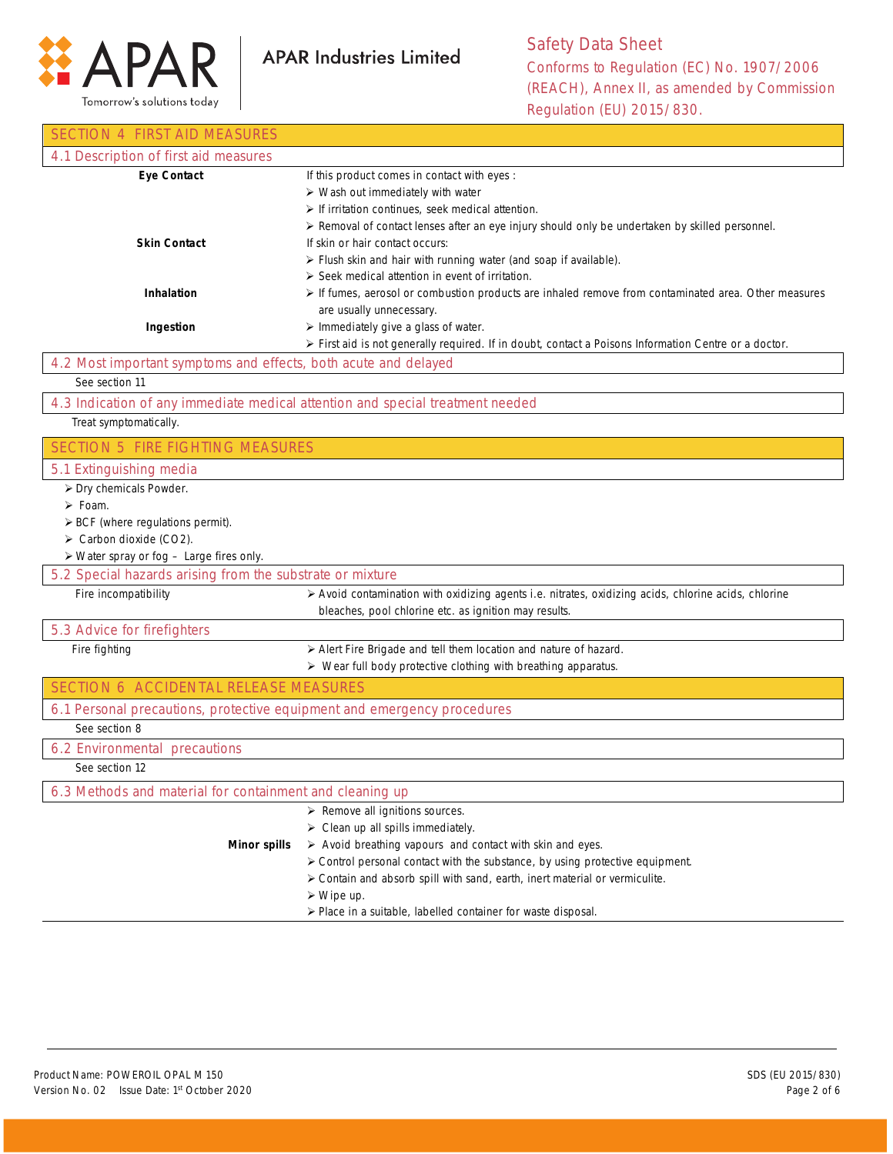

**APAR Industries Limited** 

| SECTION 4 FIRST AID MEASURES                                                       |                                                                                                          |
|------------------------------------------------------------------------------------|----------------------------------------------------------------------------------------------------------|
| 4.1 Description of first aid measures                                              |                                                                                                          |
| <b>Eye Contact</b>                                                                 | If this product comes in contact with eyes :                                                             |
|                                                                                    | > Wash out immediately with water                                                                        |
|                                                                                    | $\triangleright$ If irritation continues, seek medical attention.                                        |
| <b>Skin Contact</b>                                                                | ▶ Removal of contact lenses after an eye injury should only be undertaken by skilled personnel.          |
|                                                                                    | If skin or hair contact occurs:<br>> Flush skin and hair with running water (and soap if available).     |
|                                                                                    | $\triangleright$ Seek medical attention in event of irritation.                                          |
| <b>Inhalation</b>                                                                  | If fumes, aerosol or combustion products are inhaled remove from contaminated area. Other measures       |
|                                                                                    | are usually unnecessary.                                                                                 |
| Ingestion                                                                          | > Immediately give a glass of water.                                                                     |
|                                                                                    | > First aid is not generally required. If in doubt, contact a Poisons Information Centre or a doctor.    |
| 4.2 Most important symptoms and effects, both acute and delayed                    |                                                                                                          |
| See section 11                                                                     |                                                                                                          |
| 4.3 Indication of any immediate medical attention and special treatment needed     |                                                                                                          |
| Treat symptomatically.                                                             |                                                                                                          |
| <b>SECTION 5 FIRE FIGHTING MEASURES</b>                                            |                                                                                                          |
| 5.1 Extinguishing media                                                            |                                                                                                          |
| > Dry chemicals Powder.                                                            |                                                                                                          |
| $\triangleright$ Foam.                                                             |                                                                                                          |
| $\triangleright$ BCF (where regulations permit).                                   |                                                                                                          |
| > Carbon dioxide (CO2).<br>$\triangleright$ Water spray or fog - Large fires only. |                                                                                                          |
| 5.2 Special hazards arising from the substrate or mixture                          |                                                                                                          |
| Fire incompatibility                                                               | > Avoid contamination with oxidizing agents i.e. nitrates, oxidizing acids, chlorine acids, chlorine     |
|                                                                                    | bleaches, pool chlorine etc. as ignition may results.                                                    |
| 5.3 Advice for firefighters                                                        |                                                                                                          |
| Fire fighting                                                                      | > Alert Fire Brigade and tell them location and nature of hazard.                                        |
|                                                                                    | > Wear full body protective clothing with breathing apparatus.                                           |
| SECTION 6 ACCIDENTAL RELEASE MEASURES                                              |                                                                                                          |
| 6.1 Personal precautions, protective equipment and emergency procedures            |                                                                                                          |
| See section 8                                                                      |                                                                                                          |
| 6.2 Environmental precautions                                                      |                                                                                                          |
| See section 12                                                                     |                                                                                                          |
| 6.3 Methods and material for containment and cleaning up                           |                                                                                                          |
|                                                                                    | $\triangleright$ Remove all ignitions sources.                                                           |
|                                                                                    | $\triangleright$ Clean up all spills immediately.                                                        |
| <b>Minor spills</b>                                                                | $\triangleright$ Avoid breathing vapours and contact with skin and eyes.                                 |
|                                                                                    | > Control personal contact with the substance, by using protective equipment.                            |
|                                                                                    | > Contain and absorb spill with sand, earth, inert material or vermiculite.<br>$\triangleright$ Wipe up. |
|                                                                                    | > Place in a suitable, labelled container for waste disposal.                                            |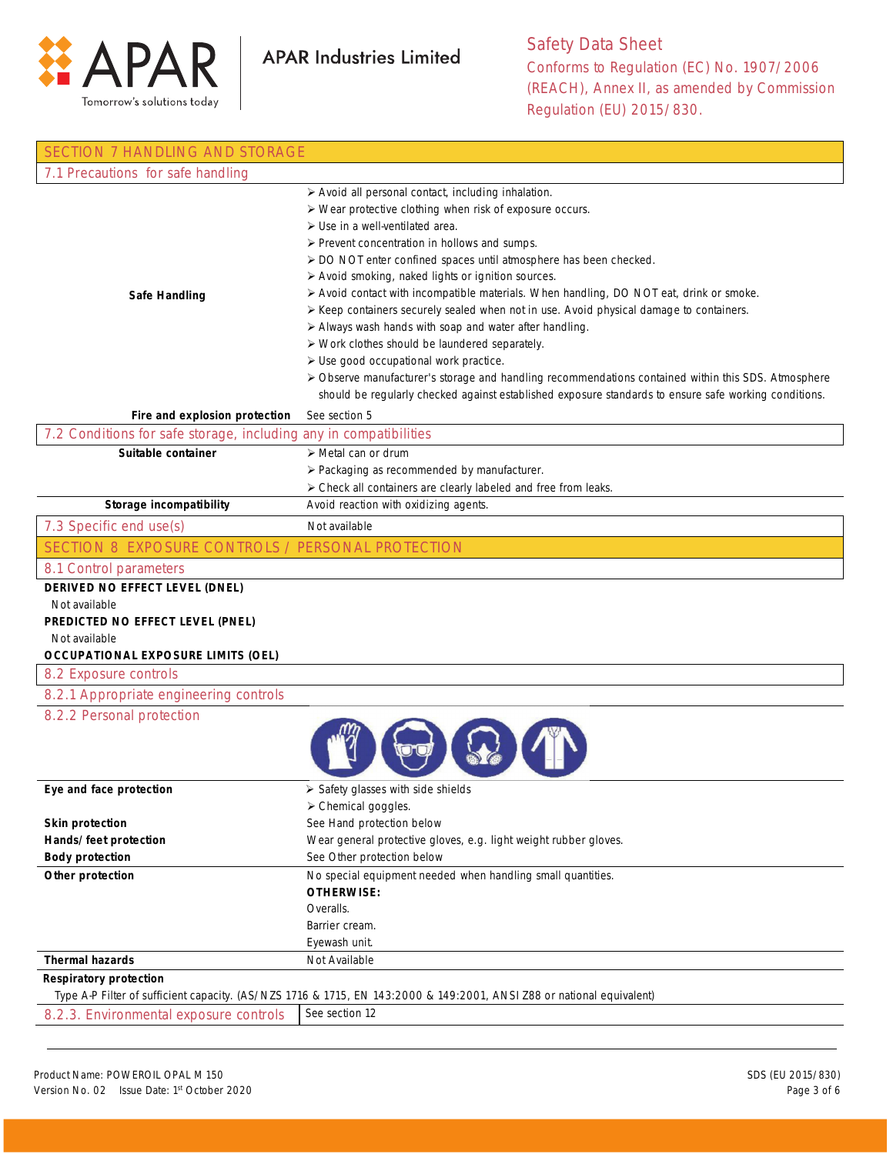

| <b>SECTION 7 HANDLING AND STORAGE</b>                                                                                                             |                                                                                                                                                                                                                                                                                                                                                                                                                                                                                                                                                                                                                                                                                                                                                                                                                                                                                                             |
|---------------------------------------------------------------------------------------------------------------------------------------------------|-------------------------------------------------------------------------------------------------------------------------------------------------------------------------------------------------------------------------------------------------------------------------------------------------------------------------------------------------------------------------------------------------------------------------------------------------------------------------------------------------------------------------------------------------------------------------------------------------------------------------------------------------------------------------------------------------------------------------------------------------------------------------------------------------------------------------------------------------------------------------------------------------------------|
| 7.1 Precautions for safe handling                                                                                                                 |                                                                                                                                                                                                                                                                                                                                                                                                                                                                                                                                                                                                                                                                                                                                                                                                                                                                                                             |
| <b>Safe Handling</b>                                                                                                                              | > Avoid all personal contact, including inhalation.<br>> Wear protective clothing when risk of exposure occurs.<br>$\triangleright$ Use in a well-ventilated area.<br>> Prevent concentration in hollows and sumps.<br>> DO NOT enter confined spaces until atmosphere has been checked.<br>> Avoid smoking, naked lights or ignition sources.<br>> Avoid contact with incompatible materials. When handling, DO NOT eat, drink or smoke.<br>≻ Keep containers securely sealed when not in use. Avoid physical damage to containers.<br>> Always wash hands with soap and water after handling.<br>> Work clothes should be laundered separately.<br>> Use good occupational work practice.<br>> Observe manufacturer's storage and handling recommendations contained within this SDS. Atmosphere<br>should be regularly checked against established exposure standards to ensure safe working conditions. |
| Fire and explosion protection                                                                                                                     | See section 5                                                                                                                                                                                                                                                                                                                                                                                                                                                                                                                                                                                                                                                                                                                                                                                                                                                                                               |
| 7.2 Conditions for safe storage, including any in compatibilities                                                                                 |                                                                                                                                                                                                                                                                                                                                                                                                                                                                                                                                                                                                                                                                                                                                                                                                                                                                                                             |
| Suitable container                                                                                                                                | > Metal can or drum<br>> Packaging as recommended by manufacturer.<br>> Check all containers are clearly labeled and free from leaks.                                                                                                                                                                                                                                                                                                                                                                                                                                                                                                                                                                                                                                                                                                                                                                       |
| Storage incompatibility                                                                                                                           | Avoid reaction with oxidizing agents.                                                                                                                                                                                                                                                                                                                                                                                                                                                                                                                                                                                                                                                                                                                                                                                                                                                                       |
| 7.3 Specific end use(s)                                                                                                                           | Not available                                                                                                                                                                                                                                                                                                                                                                                                                                                                                                                                                                                                                                                                                                                                                                                                                                                                                               |
| SECTION 8 EXPOSURE CONTROLS / PERSONAL PROTECTION                                                                                                 |                                                                                                                                                                                                                                                                                                                                                                                                                                                                                                                                                                                                                                                                                                                                                                                                                                                                                                             |
| 8.1 Control parameters                                                                                                                            |                                                                                                                                                                                                                                                                                                                                                                                                                                                                                                                                                                                                                                                                                                                                                                                                                                                                                                             |
| DERIVED NO EFFECT LEVEL (DNEL)<br>Not available<br>PREDICTED NO EFFECT LEVEL (PNEL)<br>Not available<br><b>OCCUPATIONAL EXPOSURE LIMITS (OEL)</b> |                                                                                                                                                                                                                                                                                                                                                                                                                                                                                                                                                                                                                                                                                                                                                                                                                                                                                                             |
| 8.2 Exposure controls                                                                                                                             |                                                                                                                                                                                                                                                                                                                                                                                                                                                                                                                                                                                                                                                                                                                                                                                                                                                                                                             |
| 8.2.1 Appropriate engineering controls                                                                                                            |                                                                                                                                                                                                                                                                                                                                                                                                                                                                                                                                                                                                                                                                                                                                                                                                                                                                                                             |
| 8.2.2 Personal protection                                                                                                                         |                                                                                                                                                                                                                                                                                                                                                                                                                                                                                                                                                                                                                                                                                                                                                                                                                                                                                                             |
| Eye and face protection                                                                                                                           | $\triangleright$ Safety glasses with side shields                                                                                                                                                                                                                                                                                                                                                                                                                                                                                                                                                                                                                                                                                                                                                                                                                                                           |
|                                                                                                                                                   | > Chemical goggles.<br>See Hand protection below                                                                                                                                                                                                                                                                                                                                                                                                                                                                                                                                                                                                                                                                                                                                                                                                                                                            |
| <b>Skin protection</b><br>Hands/feet protection                                                                                                   | Wear general protective gloves, e.g. light weight rubber gloves.                                                                                                                                                                                                                                                                                                                                                                                                                                                                                                                                                                                                                                                                                                                                                                                                                                            |
| <b>Body protection</b>                                                                                                                            | See Other protection below                                                                                                                                                                                                                                                                                                                                                                                                                                                                                                                                                                                                                                                                                                                                                                                                                                                                                  |
| Other protection                                                                                                                                  | No special equipment needed when handling small quantities.<br><b>OTHERWISE:</b><br>Overalls.<br>Barrier cream.<br>Eyewash unit.                                                                                                                                                                                                                                                                                                                                                                                                                                                                                                                                                                                                                                                                                                                                                                            |
| <b>Thermal hazards</b>                                                                                                                            | Not Available                                                                                                                                                                                                                                                                                                                                                                                                                                                                                                                                                                                                                                                                                                                                                                                                                                                                                               |
| <b>Respiratory protection</b>                                                                                                                     |                                                                                                                                                                                                                                                                                                                                                                                                                                                                                                                                                                                                                                                                                                                                                                                                                                                                                                             |
|                                                                                                                                                   | Type A-P Filter of sufficient capacity. (AS/NZS 1716 & 1715, EN 143:2000 & 149:2001, ANSI Z88 or national equivalent)                                                                                                                                                                                                                                                                                                                                                                                                                                                                                                                                                                                                                                                                                                                                                                                       |
| 8.2.3. Environmental exposure controls                                                                                                            | See section 12                                                                                                                                                                                                                                                                                                                                                                                                                                                                                                                                                                                                                                                                                                                                                                                                                                                                                              |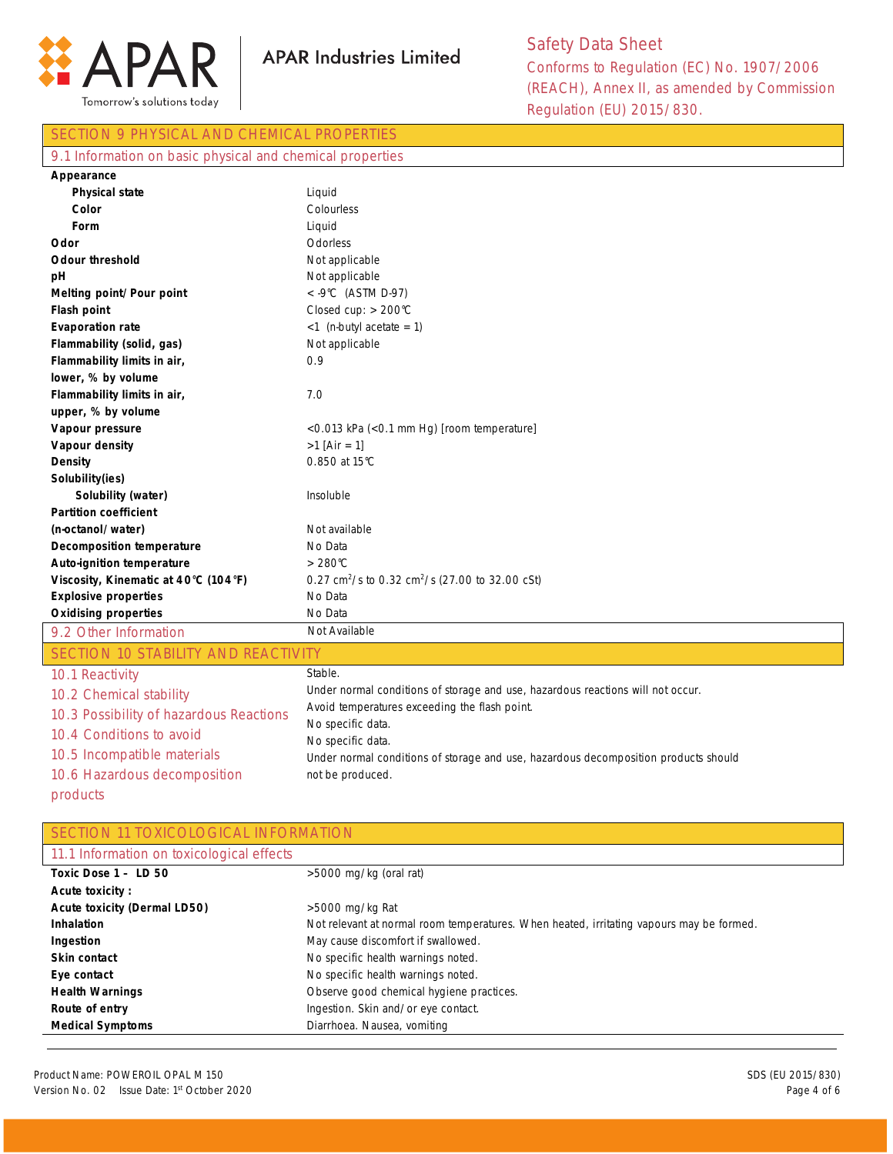

## SECTION 9 PHYSICAL AND CHEMICAL PROPERTIES 9.1 Information on basic physical and chemical properties **Appearance Physical state Color Form Odor Odour threshold pH Melting point/Pour point Flash point Evaporation rate Flammability (solid, gas) Flammability limits in air, lower, % by volume Flammability limits in air, upper, % by volume Vapour pressure Vapour density Density Solubility(ies) Solubility (water) Partition coefficient (n-octanol/water) Decomposition temperature Auto-ignition temperature Viscosity, Kinematic at 40°C (104°F) Explosive properties Oxidising properties** Liquid Colourless Liquid Odorless Not applicable Not applicable < -9°C (ASTM D-97) Closed cup: > 200°C  $<$ 1 (n-butyl acetate = 1) Not applicable 0.9 7.0 <0.013 kPa (<0.1 mm Hg) [room temperature]  $>1$  [Air = 1] 0.850 at 15°C Insoluble Not available No Data > 280°C 0.27 cm<sup>2</sup>/s to 0.32 cm<sup>2</sup>/s (27.00 to 32.00 cSt) No Data No Data 9.2 Other Information Not Available SECTION 10 STABILITY AND REACTIVITY 10.1 Reactivity 10.2 Chemical stability 10.3 Possibility of hazardous Reactions 10.4 Conditions to avoid 10.5 Incompatible materials 10.6 Hazardous decomposition Stable. Under normal conditions of storage and use, hazardous reactions will not occur. Avoid temperatures exceeding the flash point. No specific data. No specific data. Under normal conditions of storage and use, hazardous decomposition products should not be produced.

products

**SECTION 11 TOXICOLOGICAL INFORMATION** 

| 11.1 Information on toxicological effects |                                                                                          |
|-------------------------------------------|------------------------------------------------------------------------------------------|
| Toxic Dose $1 - LD 50$                    | $>5000$ mg/kg (oral rat)                                                                 |
| <b>Acute toxicity:</b>                    |                                                                                          |
| <b>Acute toxicity (Dermal LD50)</b>       | $>5000$ mg/kg Rat                                                                        |
| <b>Inhalation</b>                         | Not relevant at normal room temperatures. When heated, irritating vapours may be formed. |
| Ingestion                                 | May cause discomfort if swallowed.                                                       |
| Skin contact                              | No specific health warnings noted.                                                       |
| Eye contact                               | No specific health warnings noted.                                                       |
| <b>Health Warnings</b>                    | Observe good chemical hygiene practices.                                                 |
| Route of entry                            | Ingestion. Skin and/or eye contact.                                                      |
| <b>Medical Symptoms</b>                   | Diarrhoea. Nausea, vomiting                                                              |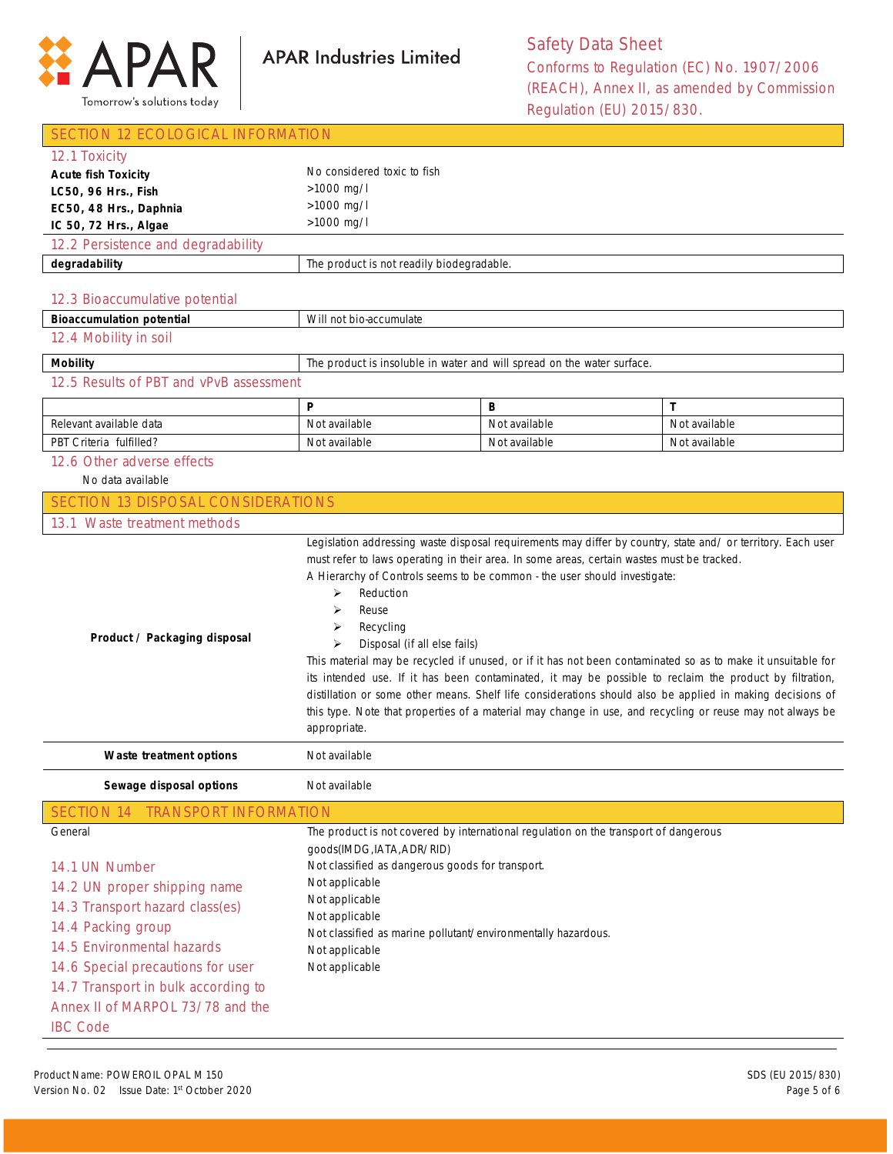

| SECTION 12 ECOLOGICAL INFORMATION                                                                                                                                                                                                                                |                                                                                                                                                                                                                                                                                                                                   |                                                                                                                                                                         |                                                                                                                                                                                                                                                                                                                                                                                                                                                  |  |
|------------------------------------------------------------------------------------------------------------------------------------------------------------------------------------------------------------------------------------------------------------------|-----------------------------------------------------------------------------------------------------------------------------------------------------------------------------------------------------------------------------------------------------------------------------------------------------------------------------------|-------------------------------------------------------------------------------------------------------------------------------------------------------------------------|--------------------------------------------------------------------------------------------------------------------------------------------------------------------------------------------------------------------------------------------------------------------------------------------------------------------------------------------------------------------------------------------------------------------------------------------------|--|
| 12.1 Toxicity                                                                                                                                                                                                                                                    |                                                                                                                                                                                                                                                                                                                                   |                                                                                                                                                                         |                                                                                                                                                                                                                                                                                                                                                                                                                                                  |  |
| <b>Acute fish Toxicity</b>                                                                                                                                                                                                                                       | No considered toxic to fish                                                                                                                                                                                                                                                                                                       |                                                                                                                                                                         |                                                                                                                                                                                                                                                                                                                                                                                                                                                  |  |
| LC50, 96 Hrs., Fish                                                                                                                                                                                                                                              | >1000 mg/l                                                                                                                                                                                                                                                                                                                        |                                                                                                                                                                         |                                                                                                                                                                                                                                                                                                                                                                                                                                                  |  |
| EC50, 48 Hrs., Daphnia                                                                                                                                                                                                                                           | >1000 mg/l                                                                                                                                                                                                                                                                                                                        |                                                                                                                                                                         |                                                                                                                                                                                                                                                                                                                                                                                                                                                  |  |
| IC 50, 72 Hrs., Algae                                                                                                                                                                                                                                            | >1000 mg/l                                                                                                                                                                                                                                                                                                                        |                                                                                                                                                                         |                                                                                                                                                                                                                                                                                                                                                                                                                                                  |  |
| 12.2 Persistence and degradability                                                                                                                                                                                                                               |                                                                                                                                                                                                                                                                                                                                   |                                                                                                                                                                         |                                                                                                                                                                                                                                                                                                                                                                                                                                                  |  |
| degradability                                                                                                                                                                                                                                                    | The product is not readily biodegradable.                                                                                                                                                                                                                                                                                         |                                                                                                                                                                         |                                                                                                                                                                                                                                                                                                                                                                                                                                                  |  |
| 12.3 Bioaccumulative potential<br><b>Bioaccumulation potential</b>                                                                                                                                                                                               | Will not bio-accumulate                                                                                                                                                                                                                                                                                                           |                                                                                                                                                                         |                                                                                                                                                                                                                                                                                                                                                                                                                                                  |  |
| 12.4 Mobility in soil                                                                                                                                                                                                                                            |                                                                                                                                                                                                                                                                                                                                   |                                                                                                                                                                         |                                                                                                                                                                                                                                                                                                                                                                                                                                                  |  |
|                                                                                                                                                                                                                                                                  |                                                                                                                                                                                                                                                                                                                                   |                                                                                                                                                                         |                                                                                                                                                                                                                                                                                                                                                                                                                                                  |  |
| <b>Mobility</b>                                                                                                                                                                                                                                                  |                                                                                                                                                                                                                                                                                                                                   | The product is insoluble in water and will spread on the water surface.                                                                                                 |                                                                                                                                                                                                                                                                                                                                                                                                                                                  |  |
| 12.5 Results of PBT and vPvB assessment                                                                                                                                                                                                                          |                                                                                                                                                                                                                                                                                                                                   |                                                                                                                                                                         |                                                                                                                                                                                                                                                                                                                                                                                                                                                  |  |
|                                                                                                                                                                                                                                                                  | P                                                                                                                                                                                                                                                                                                                                 | В                                                                                                                                                                       | T                                                                                                                                                                                                                                                                                                                                                                                                                                                |  |
| Relevant available data                                                                                                                                                                                                                                          | Not available                                                                                                                                                                                                                                                                                                                     | Not available                                                                                                                                                           | Not available                                                                                                                                                                                                                                                                                                                                                                                                                                    |  |
| PBT Criteria fulfilled?                                                                                                                                                                                                                                          | Not available                                                                                                                                                                                                                                                                                                                     | Not available                                                                                                                                                           | Not available                                                                                                                                                                                                                                                                                                                                                                                                                                    |  |
| 12.6 Other adverse effects                                                                                                                                                                                                                                       |                                                                                                                                                                                                                                                                                                                                   |                                                                                                                                                                         |                                                                                                                                                                                                                                                                                                                                                                                                                                                  |  |
| No data available                                                                                                                                                                                                                                                |                                                                                                                                                                                                                                                                                                                                   |                                                                                                                                                                         |                                                                                                                                                                                                                                                                                                                                                                                                                                                  |  |
| <b>SECTION 13 DISPOSAL CONSIDERATIONS</b>                                                                                                                                                                                                                        |                                                                                                                                                                                                                                                                                                                                   |                                                                                                                                                                         |                                                                                                                                                                                                                                                                                                                                                                                                                                                  |  |
| 13.1 Waste treatment methods                                                                                                                                                                                                                                     |                                                                                                                                                                                                                                                                                                                                   |                                                                                                                                                                         |                                                                                                                                                                                                                                                                                                                                                                                                                                                  |  |
| Product / Packaging disposal                                                                                                                                                                                                                                     | Reduction<br>⋗<br>Reuse<br>⋗<br>Recycling<br>➤<br>Disposal (if all else fails)<br>⋗<br>appropriate.                                                                                                                                                                                                                               | must refer to laws operating in their area. In some areas, certain wastes must be tracked.<br>A Hierarchy of Controls seems to be common - the user should investigate: | This material may be recycled if unused, or if it has not been contaminated so as to make it unsuitable for<br>its intended use. If it has been contaminated, it may be possible to reclaim the product by filtration,<br>distillation or some other means. Shelf life considerations should also be applied in making decisions of<br>this type. Note that properties of a material may change in use, and recycling or reuse may not always be |  |
| Waste treatment options                                                                                                                                                                                                                                          | Not available                                                                                                                                                                                                                                                                                                                     |                                                                                                                                                                         |                                                                                                                                                                                                                                                                                                                                                                                                                                                  |  |
| Sewage disposal options                                                                                                                                                                                                                                          | Not available                                                                                                                                                                                                                                                                                                                     |                                                                                                                                                                         |                                                                                                                                                                                                                                                                                                                                                                                                                                                  |  |
| <b>SECTION 14</b><br><b>TRANSPORT INFORMATION</b>                                                                                                                                                                                                                |                                                                                                                                                                                                                                                                                                                                   |                                                                                                                                                                         |                                                                                                                                                                                                                                                                                                                                                                                                                                                  |  |
| General<br>14.1 UN Number<br>14.2 UN proper shipping name<br>14.3 Transport hazard class(es)<br>14.4 Packing group<br>14.5 Environmental hazards<br>14.6 Special precautions for user<br>14.7 Transport in bulk according to<br>Annex II of MARPOL 73/78 and the | The product is not covered by international regulation on the transport of dangerous<br>goods(IMDG, IATA, ADR/RID)<br>Not classified as dangerous goods for transport.<br>Not applicable<br>Not applicable<br>Not applicable<br>Not classified as marine pollutant/environmentally hazardous.<br>Not applicable<br>Not applicable |                                                                                                                                                                         |                                                                                                                                                                                                                                                                                                                                                                                                                                                  |  |
| <b>IBC Code</b>                                                                                                                                                                                                                                                  |                                                                                                                                                                                                                                                                                                                                   |                                                                                                                                                                         |                                                                                                                                                                                                                                                                                                                                                                                                                                                  |  |